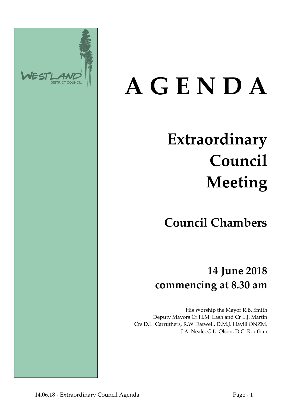

# **A G E N D A**

# **Extraordinary Council Meeting**

**Council Chambers**

**14 June 2018 commencing at 8.30 am**

His Worship the Mayor R.B. Smith Deputy Mayors Cr H.M. Lash and Cr L.J. Martin Crs D.L. Carruthers, R.W. Eatwell, D.M.J. Havill ONZM, J.A. Neale, G.L. Olson, D.C. Routhan

14.06.18 - Extraordinary Council Agenda Page - 1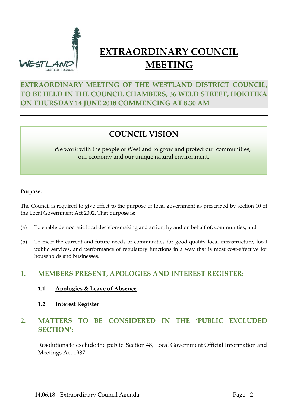

# **EXTRAORDINARY COUNCIL MEETING**

# **EXTRAORDINARY MEETING OF THE WESTLAND DISTRICT COUNCIL, TO BE HELD IN THE COUNCIL CHAMBERS, 36 WELD STREET, HOKITIKA ON THURSDAY 14 JUNE 2018 COMMENCING AT 8.30 AM**

# **COUNCIL VISION**

We work with the people of Westland to grow and protect our communities, our economy and our unique natural environment.

#### **Purpose:**

The Council is required to give effect to the purpose of local government as prescribed by section 10 of the Local Government Act 2002. That purpose is:

- (a) To enable democratic local decision-making and action, by and on behalf of, communities; and
- (b) To meet the current and future needs of communities for good-quality local infrastructure, local public services, and performance of regulatory functions in a way that is most cost-effective for households and businesses.

### **1. MEMBERS PRESENT, APOLOGIES AND INTEREST REGISTER:**

- **1.1 Apologies & Leave of Absence**
- **1.2 Interest Register**

## **2. MATTERS TO BE CONSIDERED IN THE 'PUBLIC EXCLUDED SECTION':**

Resolutions to exclude the public: Section 48, Local Government Official Information and Meetings Act 1987.